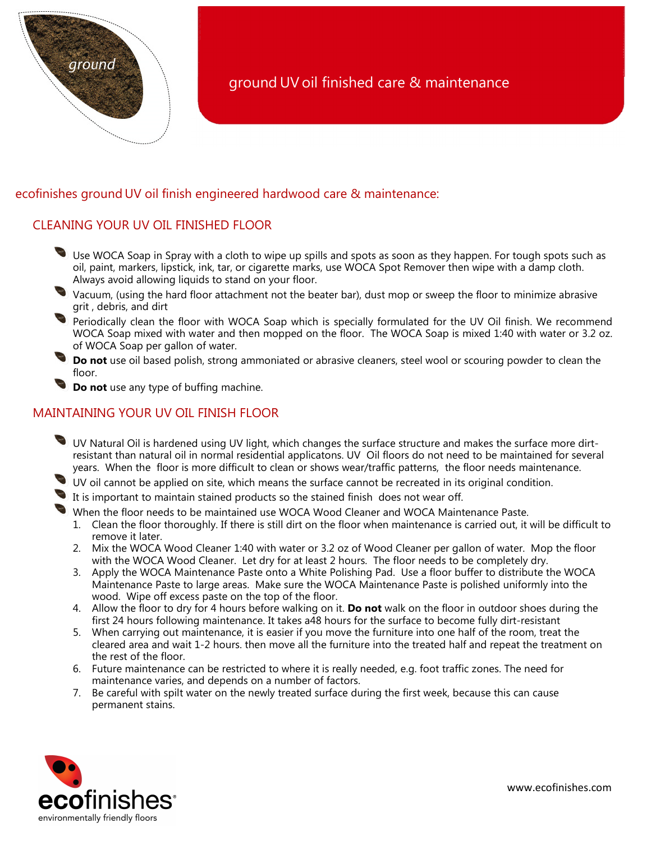

# ecofinishes ground UV oil finish engineered hardwood care & maintenance:

# CLEANING YOUR UV OIL FINISHED FLOOR

- Use WOCA Soap in Spray with a cloth to wipe up spills and spots as soon as they happen. For tough spots such as oil, paint, markers, lipstick, ink, tar, or cigarette marks, use WOCA Spot Remover then wipe with a damp cloth. Always avoid allowing liquids to stand on your floor.
- Vacuum, (using the hard floor attachment not the beater bar), dust mop or sweep the floor to minimize abrasive grit , debris, and dirt
- Periodically clean the floor with WOCA Soap which is specially formulated for the UV Oil finish. We recommend WOCA Soap mixed with water and then mopped on the floor. The WOCA Soap is mixed 1:40 with water or 3.2 oz. of WOCA Soap per gallon of water.
- Do not use oil based polish, strong ammoniated or abrasive cleaners, steel wool or scouring powder to clean the floor.

Do not use any type of buffing machine.

### MAINTAINING YOUR UV OIL FINISH FLOOR

- UV Natural Oil is hardened using UV light, which changes the surface structure and makes the surface more dirtresistant than natural oil in normal residential applicatons. UV Oil floors do not need to be maintained for several years. When the floor is more difficult to clean or shows wear/traffic patterns, the floor needs maintenance.
- UV oil cannot be applied on site, which means the surface cannot be recreated in its original condition.
- It is important to maintain stained products so the stained finish does not wear off.

When the floor needs to be maintained use WOCA Wood Cleaner and WOCA Maintenance Paste.

- 1. Clean the floor thoroughly. If there is still dirt on the floor when maintenance is carried out, it will be difficult to remove it later.
- 2. Mix the WOCA Wood Cleaner 1:40 with water or 3.2 oz of Wood Cleaner per gallon of water. Mop the floor with the WOCA Wood Cleaner. Let dry for at least 2 hours. The floor needs to be completely dry.
- 3. Apply the WOCA Maintenance Paste onto a White Polishing Pad. Use a floor buffer to distribute the WOCA Maintenance Paste to large areas. Make sure the WOCA Maintenance Paste is polished uniformly into the wood. Wipe off excess paste on the top of the floor.
- 4. Allow the floor to dry for 4 hours before walking on it. Do not walk on the floor in outdoor shoes during the first 24 hours following maintenance. It takes a48 hours for the surface to become fully dirt-resistant
- 5. When carrying out maintenance, it is easier if you move the furniture into one half of the room, treat the cleared area and wait 1-2 hours. then move all the furniture into the treated half and repeat the treatment on the rest of the floor.
- 6. Future maintenance can be restricted to where it is really needed, e.g. foot traffic zones. The need for maintenance varies, and depends on a number of factors.
- 7. Be careful with spilt water on the newly treated surface during the first week, because this can cause permanent stains.

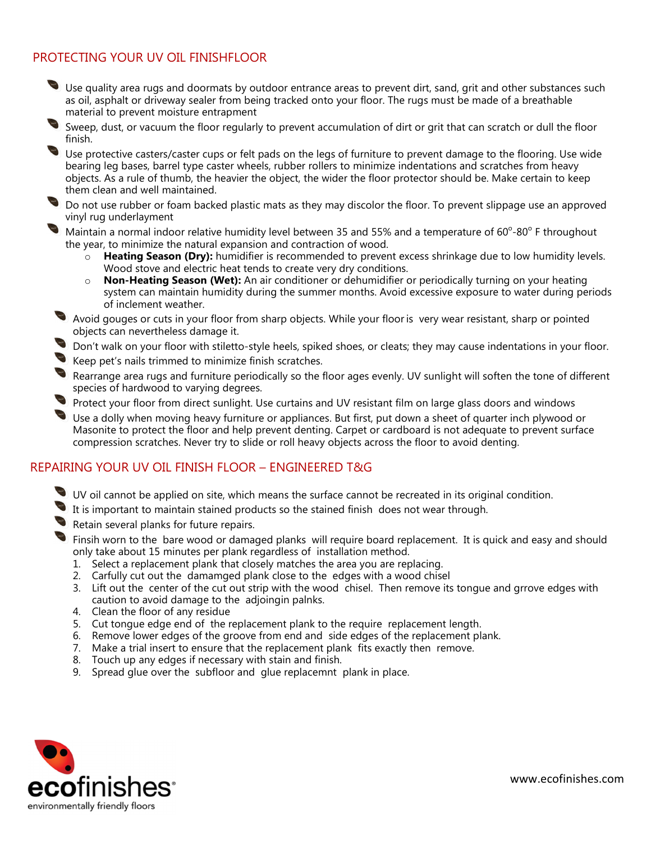# PROTECTING YOUR UV OIL FINISHFLOOR

- Use quality area rugs and doormats by outdoor entrance areas to prevent dirt, sand, grit and other substances such as oil, asphalt or driveway sealer from being tracked onto your floor. The rugs must be made of a breathable material to prevent moisture entrapment
- Sweep, dust, or vacuum the floor regularly to prevent accumulation of dirt or grit that can scratch or dull the floor finish.
- Use protective casters/caster cups or felt pads on the legs of furniture to prevent damage to the flooring. Use wide bearing leg bases, barrel type caster wheels, rubber rollers to minimize indentations and scratches from heavy objects. As a rule of thumb, the heavier the object, the wider the floor protector should be. Make certain to keep them clean and well maintained.
- Do not use rubber or foam backed plastic mats as they may discolor the floor. To prevent slippage use an approved vinyl rug underlayment
- Maintain a normal indoor relative humidity level between 35 and 55% and a temperature of  $60^{\circ}$ -80° F throughout the year, to minimize the natural expansion and contraction of wood.
	- $\sim$  Heating Season (Dry): humidifier is recommended to prevent excess shrinkage due to low humidity levels. Wood stove and electric heat tends to create very dry conditions.
	- $\circ$  Non-Heating Season (Wet): An air conditioner or dehumidifier or periodically turning on your heating system can maintain humidity during the summer months. Avoid excessive exposure to water during periods of inclement weather.
- Avoid gouges or cuts in your floor from sharp objects. While your floor is very wear resistant, sharp or pointed objects can nevertheless damage it.
- Don't walk on your floor with stiletto-style heels, spiked shoes, or cleats; they may cause indentations in your floor.
- Keep pet's nails trimmed to minimize finish scratches.
- Rearrange area rugs and furniture periodically so the floor ages evenly. UV sunlight will soften the tone of different species of hardwood to varying degrees.
- Protect your floor from direct sunlight. Use curtains and UV resistant film on large glass doors and windows
- Use a dolly when moving heavy furniture or appliances. But first, put down a sheet of quarter inch plywood or Masonite to protect the floor and help prevent denting. Carpet or cardboard is not adequate to prevent surface compression scratches. Never try to slide or roll heavy objects across the floor to avoid denting.

#### REPAIRING YOUR UV OIL FINISH FLOOR – ENGINEERED T&G

- UV oil cannot be applied on site, which means the surface cannot be recreated in its original condition.
- It is important to maintain stained products so the stained finish does not wear through.
- Retain several planks for future repairs.
- **S** Finsih worn to the bare wood or damaged planks will require board replacement. It is quick and easy and should only take about 15 minutes per plank regardless of installation method.
	- 1. Select a replacement plank that closely matches the area you are replacing.
	- 2. Carfully cut out the damamged plank close to the edges with a wood chisel
	- 3. Lift out the center of the cut out strip with the wood chisel. Then remove its tongue and grrove edges with caution to avoid damage to the adjoingin palnks.
	- 4. Clean the floor of any residue
	- 5. Cut tongue edge end of the replacement plank to the require replacement length.
	- 6. Remove lower edges of the groove from end and side edges of the replacement plank.
	- 7. Make a trial insert to ensure that the replacement plank fits exactly then remove.
	- 8. Touch up any edges if necessary with stain and finish.
	- 9. Spread glue over the subfloor and glue replacemnt plank in place.